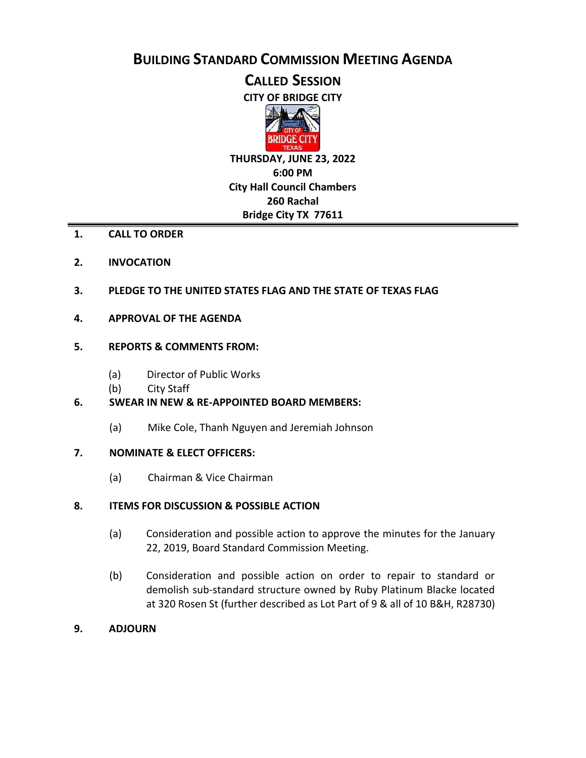**BUILDING STANDARD COMMISSION MEETING AGENDA**

**CALLED SESSION**

**CITY OF BRIDGE CITY**



**THURSDAY, JUNE 23, 2022 6:00 PM City Hall Council Chambers 260 Rachal Bridge City TX 77611**

- **1. CALL TO ORDER**
- **2. INVOCATION**
- **3. PLEDGE TO THE UNITED STATES FLAG AND THE STATE OF TEXAS FLAG**
- **4. APPROVAL OF THE AGENDA**

## **5. REPORTS & COMMENTS FROM:**

- (a) Director of Public Works
- (b) City Staff

## **6. SWEAR IN NEW & RE-APPOINTED BOARD MEMBERS:**

(a) Mike Cole, Thanh Nguyen and Jeremiah Johnson

## **7. NOMINATE & ELECT OFFICERS:**

(a) Chairman & Vice Chairman

## **8. ITEMS FOR DISCUSSION & POSSIBLE ACTION**

- (a) Consideration and possible action to approve the minutes for the January 22, 2019, Board Standard Commission Meeting.
- (b) Consideration and possible action on order to repair to standard or demolish sub-standard structure owned by Ruby Platinum Blacke located at 320 Rosen St (further described as Lot Part of 9 & all of 10 B&H, R28730)
- **9. ADJOURN**